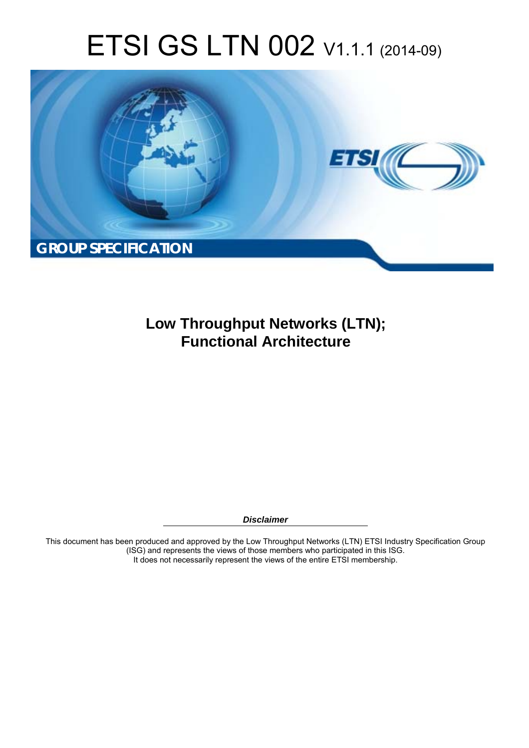# ETSI GS LTN 002 V1.1.1 (2014-09)



**Low Throughput Networks (LTN); Functional Architecture** 

*Disclaimer* 

This document has been produced and approved by the Low Throughput Networks (LTN) ETSI Industry Specification Group (ISG) and represents the views of those members who participated in this ISG. It does not necessarily represent the views of the entire ETSI membership.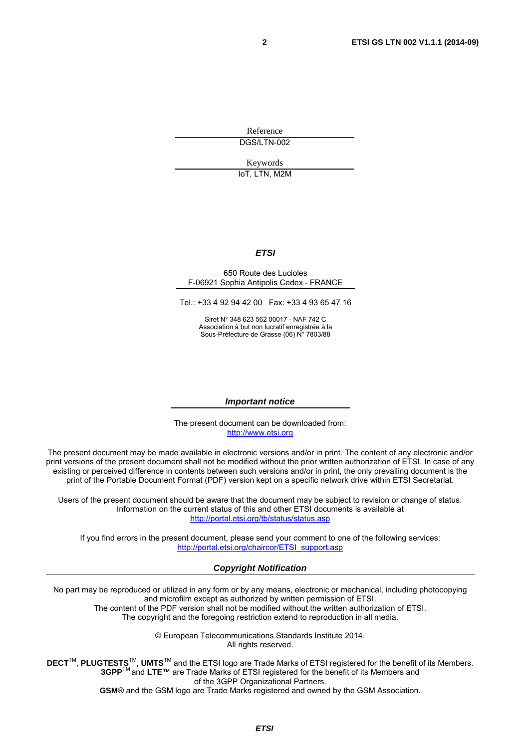Reference DGS/LTN-002

Keywords

IoT, LTN, M2M

#### *ETSI*

#### 650 Route des Lucioles F-06921 Sophia Antipolis Cedex - FRANCE

Tel.: +33 4 92 94 42 00 Fax: +33 4 93 65 47 16

Siret N° 348 623 562 00017 - NAF 742 C Association à but non lucratif enregistrée à la Sous-Préfecture de Grasse (06) N° 7803/88

#### *Important notice*

The present document can be downloaded from: [http://www.etsi.org](http://www.etsi.org/)

The present document may be made available in electronic versions and/or in print. The content of any electronic and/or print versions of the present document shall not be modified without the prior written authorization of ETSI. In case of any existing or perceived difference in contents between such versions and/or in print, the only prevailing document is the print of the Portable Document Format (PDF) version kept on a specific network drive within ETSI Secretariat.

Users of the present document should be aware that the document may be subject to revision or change of status. Information on the current status of this and other ETSI documents is available at <http://portal.etsi.org/tb/status/status.asp>

If you find errors in the present document, please send your comment to one of the following services: [http://portal.etsi.org/chaircor/ETSI\\_support.asp](http://portal.etsi.org/chaircor/ETSI_support.asp)

#### *Copyright Notification*

No part may be reproduced or utilized in any form or by any means, electronic or mechanical, including photocopying and microfilm except as authorized by written permission of ETSI. The content of the PDF version shall not be modified without the written authorization of ETSI.

The copyright and the foregoing restriction extend to reproduction in all media.

© European Telecommunications Standards Institute 2014. All rights reserved.

**DECT**TM, **PLUGTESTS**TM, **UMTS**TM and the ETSI logo are Trade Marks of ETSI registered for the benefit of its Members. **3GPP**TM and **LTE**™ are Trade Marks of ETSI registered for the benefit of its Members and of the 3GPP Organizational Partners.

**GSM**® and the GSM logo are Trade Marks registered and owned by the GSM Association.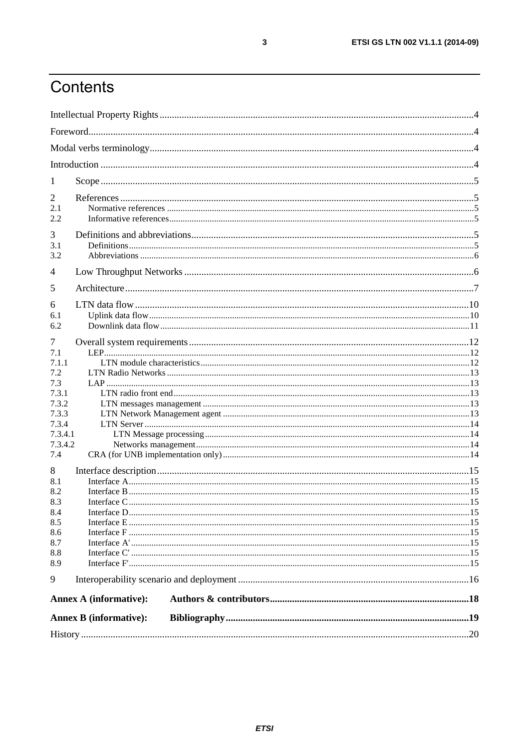# Contents

| 1                             |                               |  |  |  |
|-------------------------------|-------------------------------|--|--|--|
| 2                             |                               |  |  |  |
| 2.1                           |                               |  |  |  |
| 2.2                           |                               |  |  |  |
| 3                             |                               |  |  |  |
| 3.1                           |                               |  |  |  |
| 3.2                           |                               |  |  |  |
| $\overline{4}$                |                               |  |  |  |
| 5                             |                               |  |  |  |
|                               |                               |  |  |  |
| 6<br>6.1                      |                               |  |  |  |
| 6.2                           |                               |  |  |  |
|                               |                               |  |  |  |
| 7<br>7.1                      |                               |  |  |  |
| 7.1.1                         |                               |  |  |  |
| 7.2                           |                               |  |  |  |
| 7.3                           |                               |  |  |  |
| 7.3.1                         |                               |  |  |  |
| 7.3.2                         |                               |  |  |  |
| 7.3.3<br>7.3.4                |                               |  |  |  |
| 7.3.4.1                       |                               |  |  |  |
| 7.3.4.2                       |                               |  |  |  |
| 7.4                           |                               |  |  |  |
| 8                             |                               |  |  |  |
| 8.1                           |                               |  |  |  |
| 8.2                           |                               |  |  |  |
| 8.3                           |                               |  |  |  |
| 8.4                           |                               |  |  |  |
| 8.5                           |                               |  |  |  |
| 8.6                           |                               |  |  |  |
| 8.7                           |                               |  |  |  |
| 8.8                           |                               |  |  |  |
| 8.9                           |                               |  |  |  |
| 9                             |                               |  |  |  |
| <b>Annex A (informative):</b> |                               |  |  |  |
|                               | <b>Annex B</b> (informative): |  |  |  |
|                               |                               |  |  |  |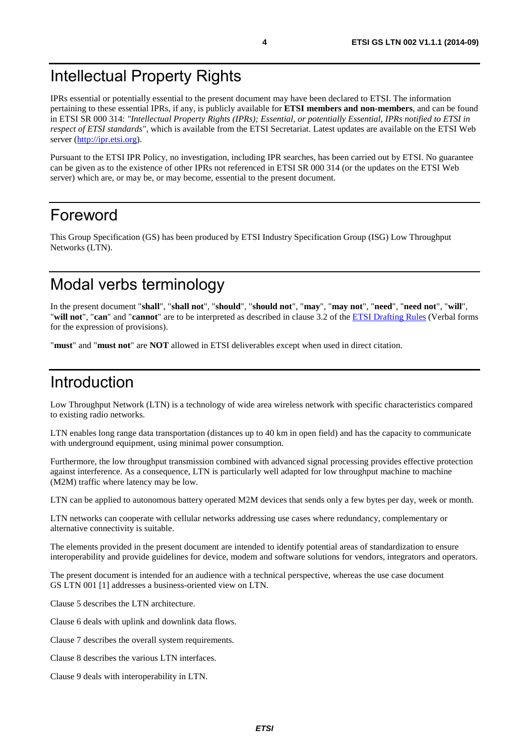### <span id="page-3-0"></span>Intellectual Property Rights

IPRs essential or potentially essential to the present document may have been declared to ETSI. The information pertaining to these essential IPRs, if any, is publicly available for **ETSI members and non-members**, and can be found in ETSI SR 000 314: *"Intellectual Property Rights (IPRs); Essential, or potentially Essential, IPRs notified to ETSI in respect of ETSI standards"*, which is available from the ETSI Secretariat. Latest updates are available on the ETSI Web server ([http://ipr.etsi.org\)](http://webapp.etsi.org/IPR/home.asp).

Pursuant to the ETSI IPR Policy, no investigation, including IPR searches, has been carried out by ETSI. No guarantee can be given as to the existence of other IPRs not referenced in ETSI SR 000 314 (or the updates on the ETSI Web server) which are, or may be, or may become, essential to the present document.

### Foreword

This Group Specification (GS) has been produced by ETSI Industry Specification Group (ISG) Low Throughput Networks (LTN).

### Modal verbs terminology

In the present document "**shall**", "**shall not**", "**should**", "**should not**", "**may**", "**may not**", "**need**", "**need not**", "**will**", "**will not**", "**can**" and "**cannot**" are to be interpreted as described in clause 3.2 of the [ETSI Drafting Rules](http://portal.etsi.org/Help/editHelp!/Howtostart/ETSIDraftingRules.aspx) (Verbal forms for the expression of provisions).

"**must**" and "**must not**" are **NOT** allowed in ETSI deliverables except when used in direct citation.

### Introduction

Low Throughput Network (LTN) is a technology of wide area wireless network with specific characteristics compared to existing radio networks.

LTN enables long range data transportation (distances up to 40 km in open field) and has the capacity to communicate with underground equipment, using minimal power consumption.

Furthermore, the low throughput transmission combined with advanced signal processing provides effective protection against interference. As a consequence, LTN is particularly well adapted for low throughput machine to machine (M2M) traffic where latency may be low.

LTN can be applied to autonomous battery operated M2M devices that sends only a few bytes per day, week or month.

LTN networks can cooperate with cellular networks addressing use cases where redundancy, complementary or alternative connectivity is suitable.

The elements provided in the present document are intended to identify potential areas of standardization to ensure interoperability and provide guidelines for device, modem and software solutions for vendors, integrators and operators.

The present document is intended for an audience with a technical perspective, whereas the use case document GS LTN 001 [\[1\]](#page-4-0) addresses a business-oriented view on LTN.

Clause 5 describes the LTN architecture.

Clause 6 deals with uplink and downlink data flows.

Clause 7 describes the overall system requirements.

Clause 8 describes the various LTN interfaces.

Clause 9 deals with interoperability in LTN.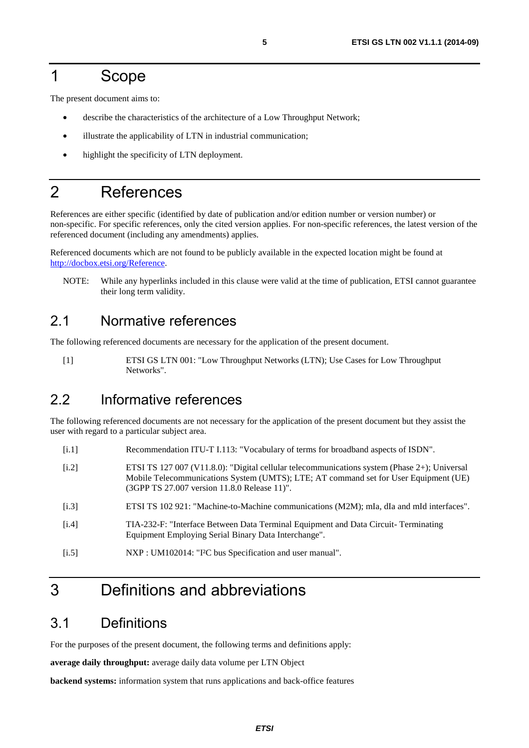### <span id="page-4-0"></span>1 Scope

The present document aims to:

- describe the characteristics of the architecture of a Low Throughput Network;
- illustrate the applicability of LTN in industrial communication;
- highlight the specificity of LTN deployment.

### 2 References

References are either specific (identified by date of publication and/or edition number or version number) or non-specific. For specific references, only the cited version applies. For non-specific references, the latest version of the referenced document (including any amendments) applies.

Referenced documents which are not found to be publicly available in the expected location might be found at [http://docbox.etsi.org/Reference.](http://docbox.etsi.org/Reference)

NOTE: While any hyperlinks included in this clause were valid at the time of publication, ETSI cannot guarantee their long term validity.

#### 2.1 Normative references

The following referenced documents are necessary for the application of the present document.

[1] ETSI GS LTN 001: "Low Throughput Networks (LTN); Use Cases for Low Throughput Networks".

### 2.2 Informative references

The following referenced documents are not necessary for the application of the present document but they assist the user with regard to a particular subject area.

- [i.1] Recommendation ITU-T I.113: "Vocabulary of terms for broadband aspects of ISDN".
- [i.2] ETSI TS 127 007 (V11.8.0): "Digital cellular telecommunications system (Phase 2+); Universal Mobile Telecommunications System (UMTS); LTE; AT command set for User Equipment (UE) (3GPP TS 27.007 version 11.8.0 Release 11)".
- [i.3] ETSI TS 102 921: "Machine-to-Machine communications (M2M); mIa, dIa and mId interfaces".
- [i.4] TIA-232-F: "Interface Between Data Terminal Equipment and Data Circuit- Terminating Equipment Employing Serial Binary Data Interchange".
- [i.5] NXP : UM102014: "I<sup>2</sup>C bus Specification and user manual".

### 3 Definitions and abbreviations

#### 3.1 Definitions

For the purposes of the present document, the following terms and definitions apply:

**average daily throughput:** average daily data volume per LTN Object

**backend systems:** information system that runs applications and back-office features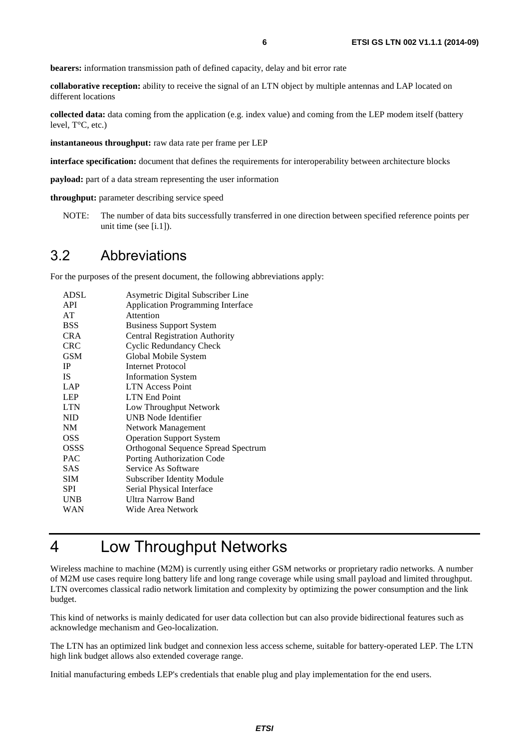<span id="page-5-0"></span>**bearers:** information transmission path of defined capacity, delay and bit error rate

**collaborative reception:** ability to receive the signal of an LTN object by multiple antennas and LAP located on different locations

**collected data:** data coming from the application (e.g. index value) and coming from the LEP modem itself (battery level, T°C, etc.)

**instantaneous throughput:** raw data rate per frame per LEP

**interface specification:** document that defines the requirements for interoperability between architecture blocks

**payload:** part of a data stream representing the user information

**throughput:** parameter describing service speed

NOTE: The number of data bits successfully transferred in one direction between specified reference points per unit time (see [[i.1\]](#page-4-0)).

#### 3.2 Abbreviations

For the purposes of the present document, the following abbreviations apply:

| <b>ADSL</b> | Asymetric Digital Subscriber Line        |
|-------------|------------------------------------------|
| <b>API</b>  | <b>Application Programming Interface</b> |
| AT          | Attention                                |
| <b>BSS</b>  | <b>Business Support System</b>           |
| <b>CRA</b>  | <b>Central Registration Authority</b>    |
| <b>CRC</b>  | Cyclic Redundancy Check                  |
| <b>GSM</b>  | Global Mobile System                     |
| <b>IP</b>   | Internet Protocol                        |
| <b>IS</b>   | <b>Information System</b>                |
| LAP         | <b>LTN</b> Access Point                  |
| <b>LEP</b>  | <b>LTN End Point</b>                     |
| <b>LTN</b>  | Low Throughput Network                   |
| <b>NID</b>  | <b>UNB Node Identifier</b>               |
| NM          | Network Management                       |
| OSS         | <b>Operation Support System</b>          |
| <b>OSSS</b> | Orthogonal Sequence Spread Spectrum      |
| <b>PAC</b>  | Porting Authorization Code               |
| <b>SAS</b>  | Service As Software                      |
| <b>SIM</b>  | <b>Subscriber Identity Module</b>        |
| <b>SPI</b>  | Serial Physical Interface                |
| <b>UNB</b>  | <b>Ultra Narrow Band</b>                 |
| WAN         | Wide Area Network                        |

# 4 Low Throughput Networks

Wireless machine to machine (M2M) is currently using either GSM networks or proprietary radio networks. A number of M2M use cases require long battery life and long range coverage while using small payload and limited throughput. LTN overcomes classical radio network limitation and complexity by optimizing the power consumption and the link budget.

This kind of networks is mainly dedicated for user data collection but can also provide bidirectional features such as acknowledge mechanism and Geo-localization.

The LTN has an optimized link budget and connexion less access scheme, suitable for battery-operated LEP. The LTN high link budget allows also extended coverage range.

Initial manufacturing embeds LEP's credentials that enable plug and play implementation for the end users.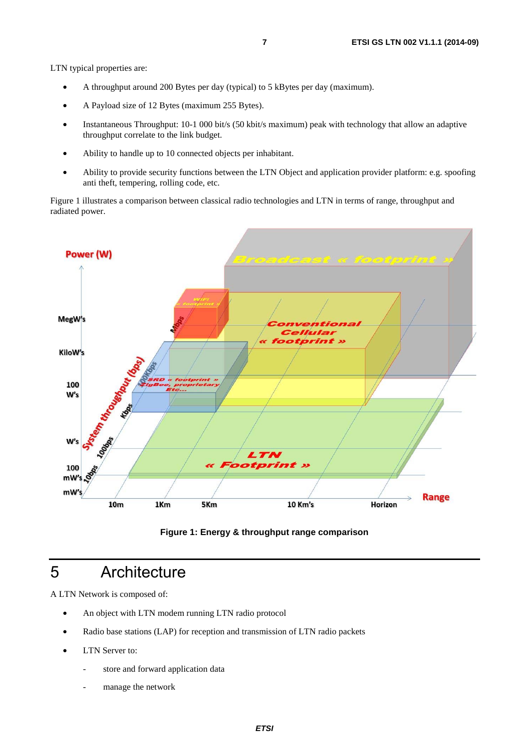<span id="page-6-0"></span>LTN typical properties are:

- A throughput around 200 Bytes per day (typical) to 5 kBytes per day (maximum).
- A Payload size of 12 Bytes (maximum 255 Bytes).
- Instantaneous Throughput: 10-1 000 bit/s (50 kbit/s maximum) peak with technology that allow an adaptive throughput correlate to the link budget.
- Ability to handle up to 10 connected objects per inhabitant.
- Ability to provide security functions between the LTN Object and application provider platform: e.g. spoofing anti theft, tempering, rolling code, etc.

Figure 1 illustrates a comparison between classical radio technologies and LTN in terms of range, throughput and radiated power.



**Figure 1: Energy & throughput range comparison** 

### 5 Architecture

A LTN Network is composed of:

- An object with LTN modem running LTN radio protocol
- Radio base stations (LAP) for reception and transmission of LTN radio packets
- LTN Server to:
	- store and forward application data
	- manage the network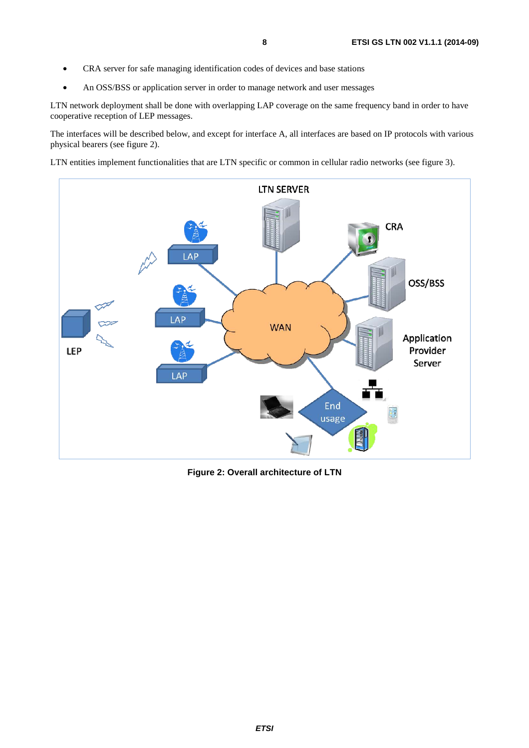- CRA server for safe managing identification codes of devices and base stations
- An OSS/BSS or application server in order to manage network and user messages

LTN network deployment shall be done with overlapping LAP coverage on the same frequency band in order to have cooperative reception of LEP messages.

The interfaces will be described below, and except for interface A, all interfaces are based on IP protocols with various physical bearers (see figure 2).

LTN entities implement functionalities that are LTN specific or common in cellular radio networks (see figure 3).



**Figure 2: Overall architecture of LTN**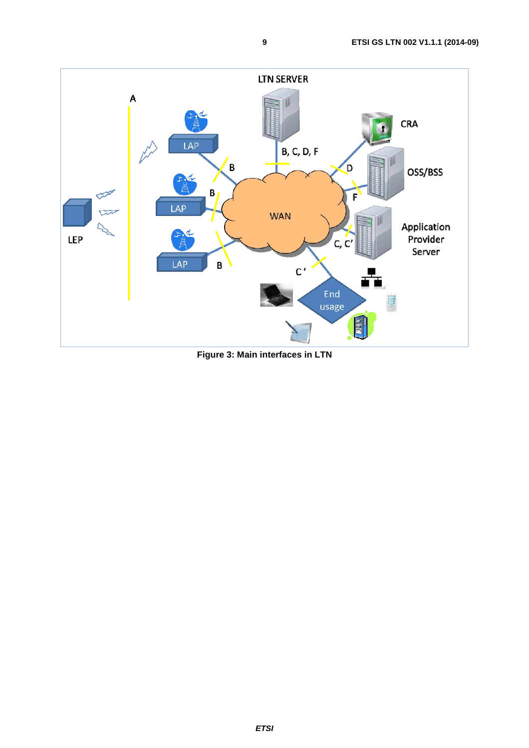

**Figure 3: Main interfaces in LTN**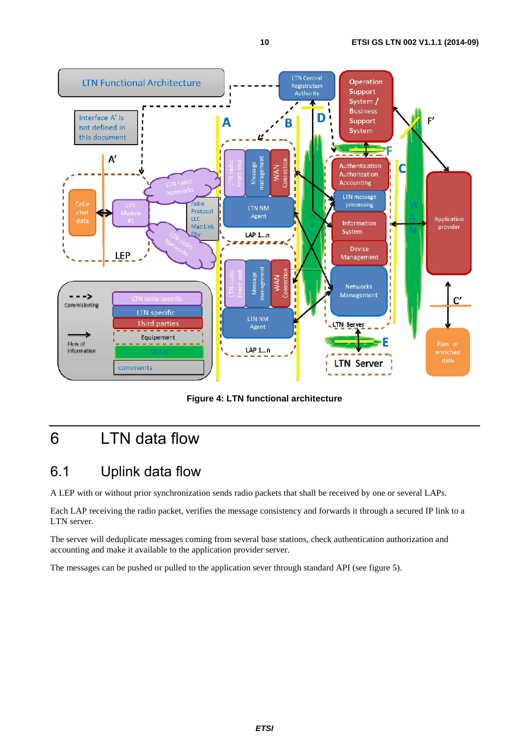<span id="page-9-0"></span>

**Figure 4: LTN functional architecture** 

# 6 LTN data flow

### 6.1 Uplink data flow

A LEP with or without prior synchronization sends radio packets that shall be received by one or several LAPs.

Each LAP receiving the radio packet, verifies the message consistency and forwards it through a secured IP link to a LTN server.

The server will deduplicate messages coming from several base stations, check authentication authorization and accounting and make it available to the application provider server.

The messages can be pushed or pulled to the application sever through standard API (see figure 5).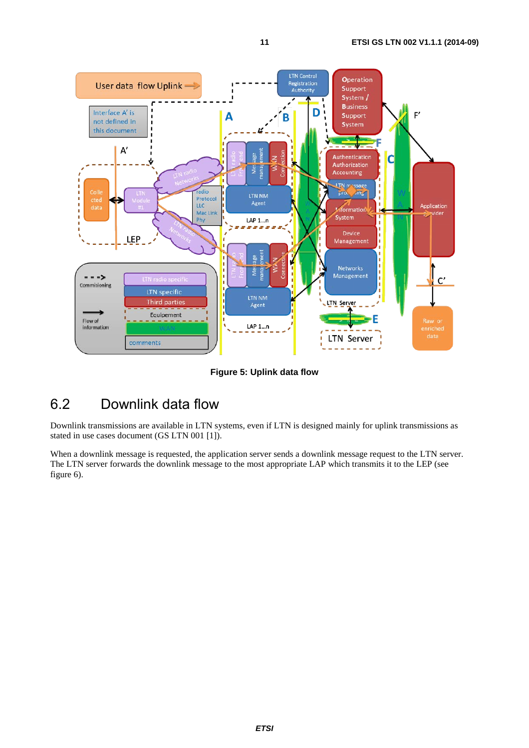<span id="page-10-0"></span>

**Figure 5: Uplink data flow** 

### 6.2 Downlink data flow

Downlink transmissions are available in LTN systems, even if LTN is designed mainly for uplink transmissions as stated in use cases document (GS LTN 001 [[1\]](#page-4-0)).

When a downlink message is requested, the application server sends a downlink message request to the LTN server. The LTN server forwards the downlink message to the most appropriate LAP which transmits it to the LEP (see figure 6).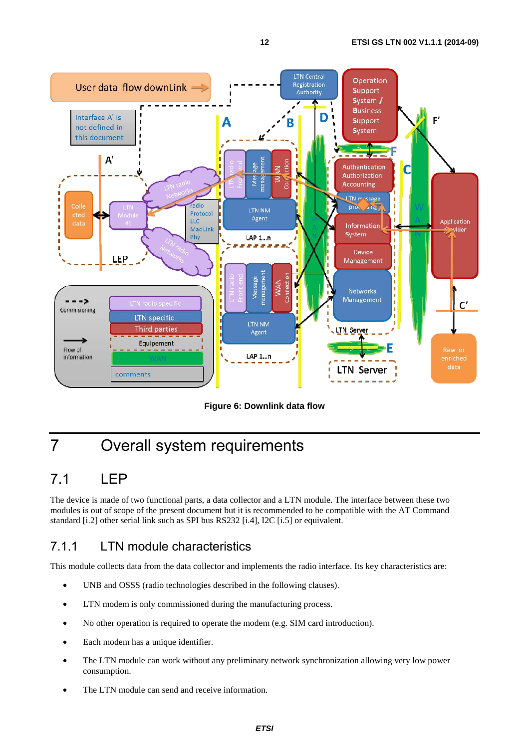<span id="page-11-0"></span>

**Figure 6: Downlink data flow** 

# 7 Overall system requirements

### 7.1 LEP

The device is made of two functional parts, a data collector and a LTN module. The interface between these two modules is out of scope of the present document but it is recommended to be compatible with the AT Command standard [[i.2\]](#page-4-0) other serial link such as SPI bus RS232 [[i.4\]](#page-4-0), I2C [[i.5\]](#page-4-0) or equivalent.

### 7.1.1 LTN module characteristics

This module collects data from the data collector and implements the radio interface. Its key characteristics are:

- UNB and OSSS (radio technologies described in the following clauses).
- LTN modem is only commissioned during the manufacturing process.
- No other operation is required to operate the modem (e.g. SIM card introduction).
- Each modem has a unique identifier.
- The LTN module can work without any preliminary network synchronization allowing very low power consumption.
- The LTN module can send and receive information.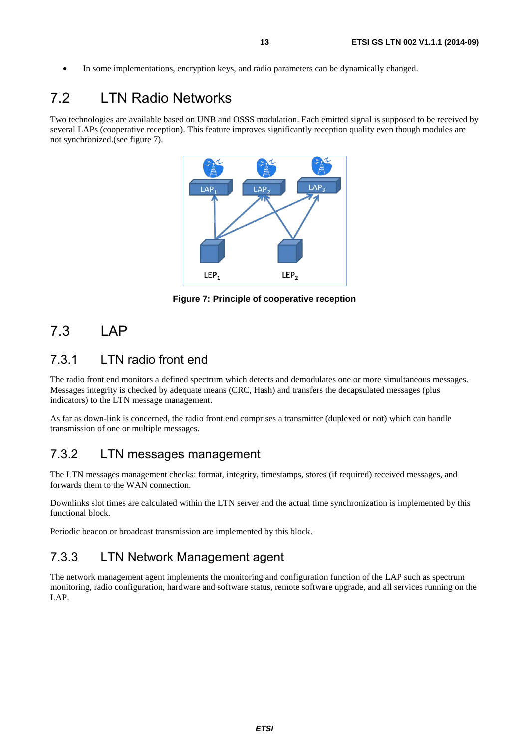<span id="page-12-0"></span>• In some implementations, encryption keys, and radio parameters can be dynamically changed.

### 7.2 LTN Radio Networks

Two technologies are available based on UNB and OSSS modulation. Each emitted signal is supposed to be received by several LAPs (cooperative reception). This feature improves significantly reception quality even though modules are not synchronized.(see figure 7).



**Figure 7: Principle of cooperative reception** 

### 7.3 LAP

#### 7.3.1 LTN radio front end

The radio front end monitors a defined spectrum which detects and demodulates one or more simultaneous messages. Messages integrity is checked by adequate means (CRC, Hash) and transfers the decapsulated messages (plus indicators) to the LTN message management.

As far as down-link is concerned, the radio front end comprises a transmitter (duplexed or not) which can handle transmission of one or multiple messages.

#### 7.3.2 LTN messages management

The LTN messages management checks: format, integrity, timestamps, stores (if required) received messages, and forwards them to the WAN connection.

Downlinks slot times are calculated within the LTN server and the actual time synchronization is implemented by this functional block.

Periodic beacon or broadcast transmission are implemented by this block.

#### 7.3.3 LTN Network Management agent

The network management agent implements the monitoring and configuration function of the LAP such as spectrum monitoring, radio configuration, hardware and software status, remote software upgrade, and all services running on the LAP.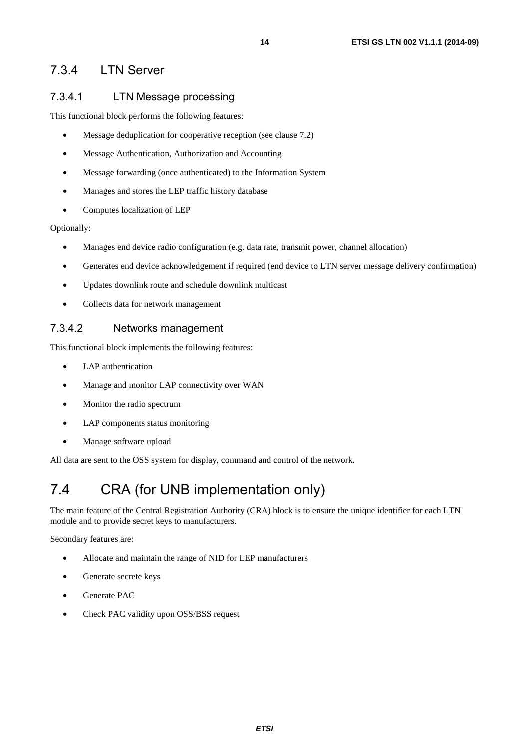#### <span id="page-13-0"></span>7.3.4 LTN Server

#### 7.3.4.1 LTN Message processing

This functional block performs the following features:

- Message deduplication for cooperative reception (see clause 7.2)
- Message Authentication, Authorization and Accounting
- Message forwarding (once authenticated) to the Information System
- Manages and stores the LEP traffic history database
- Computes localization of LEP

#### Optionally:

- Manages end device radio configuration (e.g. data rate, transmit power, channel allocation)
- Generates end device acknowledgement if required (end device to LTN server message delivery confirmation)
- Updates downlink route and schedule downlink multicast
- Collects data for network management

#### 7.3.4.2 Networks management

This functional block implements the following features:

- LAP authentication
- Manage and monitor LAP connectivity over WAN
- Monitor the radio spectrum
- LAP components status monitoring
- Manage software upload

All data are sent to the OSS system for display, command and control of the network.

### 7.4 CRA (for UNB implementation only)

The main feature of the Central Registration Authority (CRA) block is to ensure the unique identifier for each LTN module and to provide secret keys to manufacturers.

Secondary features are:

- Allocate and maintain the range of NID for LEP manufacturers
- Generate secrete keys
- Generate PAC
- Check PAC validity upon OSS/BSS request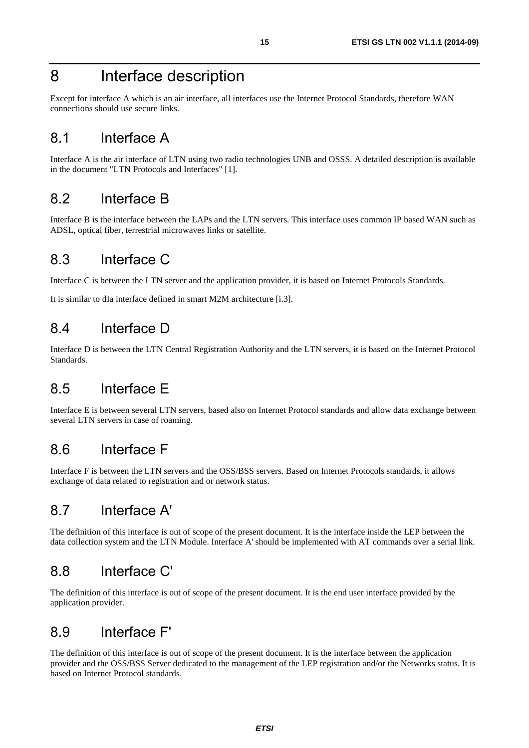### <span id="page-14-0"></span>8 Interface description

Except for interface A which is an air interface, all interfaces use the Internet Protocol Standards, therefore WAN connections should use secure links.

### 8.1 Interface A

Interface A is the air interface of LTN using two radio technologies UNB and OSSS. A detailed description is available in the document "LTN Protocols and Interfaces" [[1\]](#page-4-0).

#### 8.2 Interface B

Interface B is the interface between the LAPs and the LTN servers. This interface uses common IP based WAN such as ADSL, optical fiber, terrestrial microwaves links or satellite.

### 8.3 Interface C

Interface C is between the LTN server and the application provider, it is based on Internet Protocols Standards.

It is similar to dIa interface defined in smart M2M architecture [[i.3\]](#page-4-0).

### 8.4 Interface D

Interface D is between the LTN Central Registration Authority and the LTN servers, it is based on the Internet Protocol Standards.

#### 8.5 Interface E

Interface E is between several LTN servers, based also on Internet Protocol standards and allow data exchange between several LTN servers in case of roaming.

### 8.6 Interface F

Interface F is between the LTN servers and the OSS/BSS servers. Based on Internet Protocols standards, it allows exchange of data related to registration and or network status.

### 8.7 Interface A'

The definition of this interface is out of scope of the present document. It is the interface inside the LEP between the data collection system and the LTN Module. Interface A' should be implemented with AT commands over a serial link.

#### 8.8 Interface C'

The definition of this interface is out of scope of the present document. It is the end user interface provided by the application provider.

#### 8.9 Interface F'

The definition of this interface is out of scope of the present document. It is the interface between the application provider and the OSS/BSS Server dedicated to the management of the LEP registration and/or the Networks status. It is based on Internet Protocol standards.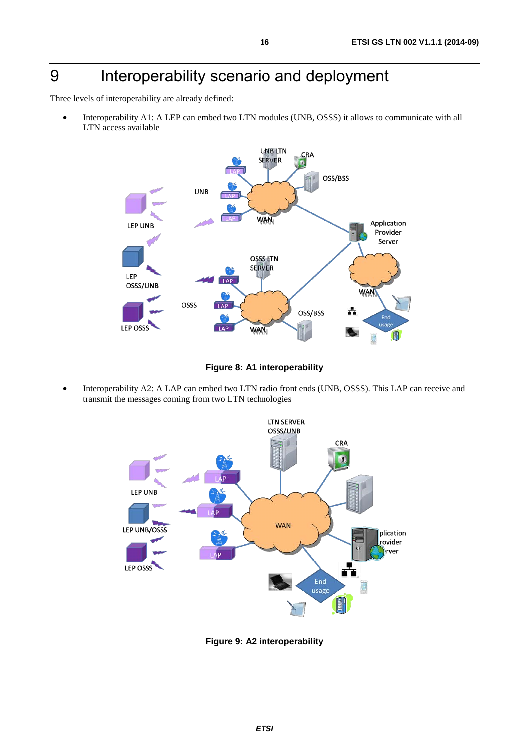# <span id="page-15-0"></span>9 Interoperability scenario and deployment

Three levels of interoperability are already defined:

• Interoperability A1: A LEP can embed two LTN modules (UNB, OSSS) it allows to communicate with all LTN access available



**Figure 8: A1 interoperability** 

• Interoperability A2: A LAP can embed two LTN radio front ends (UNB, OSSS). This LAP can receive and transmit the messages coming from two LTN technologies



**Figure 9: A2 interoperability**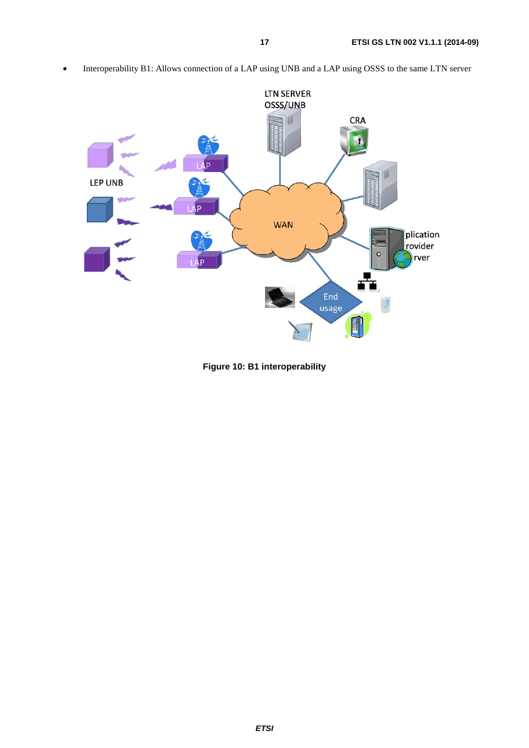

• Interoperability B1: Allows connection of a LAP using UNB and a LAP using OSSS to the same LTN server

**Figure 10: B1 interoperability**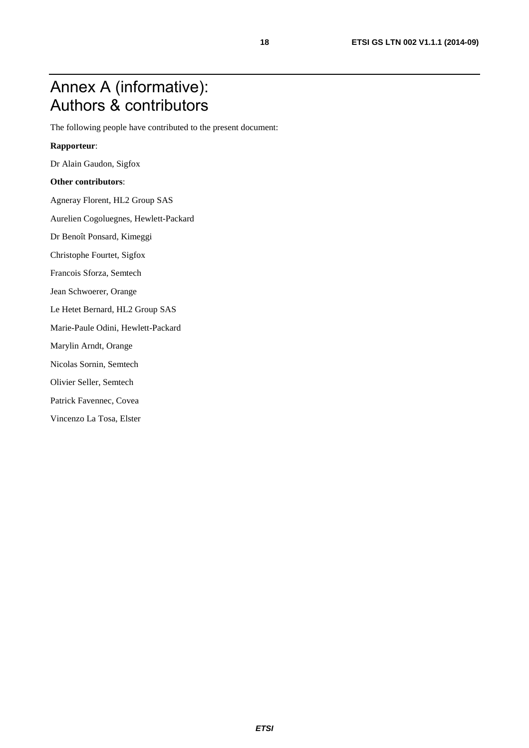## <span id="page-17-0"></span>Annex A (informative): Authors & contributors

The following people have contributed to the present document:

#### **Rapporteur**:

Dr Alain Gaudon, Sigfox

#### **Other contributors**:

Agneray Florent, HL2 Group SAS

Aurelien Cogoluegnes, Hewlett-Packard

Dr Benoît Ponsard, Kimeggi

Christophe Fourtet, Sigfox

Francois Sforza, Semtech

Jean Schwoerer, Orange

Le Hetet Bernard, HL2 Group SAS

Marie-Paule Odini, Hewlett-Packard

Marylin Arndt, Orange

Nicolas Sornin, Semtech

Olivier Seller, Semtech

Patrick Favennec, Covea

Vincenzo La Tosa, Elster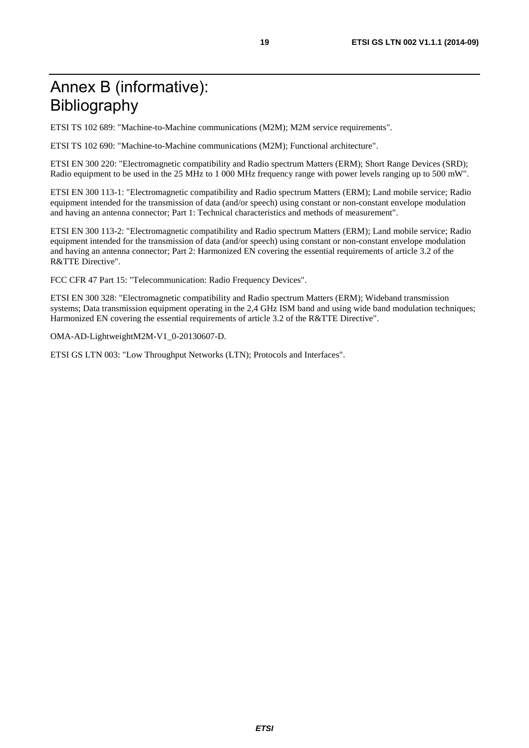# <span id="page-18-0"></span>Annex B (informative): Bibliography

ETSI TS 102 689: "Machine-to-Machine communications (M2M); M2M service requirements".

ETSI TS 102 690: "Machine-to-Machine communications (M2M); Functional architecture".

ETSI EN 300 220: "Electromagnetic compatibility and Radio spectrum Matters (ERM); Short Range Devices (SRD); Radio equipment to be used in the 25 MHz to 1 000 MHz frequency range with power levels ranging up to 500 mW".

ETSI EN 300 113-1: "Electromagnetic compatibility and Radio spectrum Matters (ERM); Land mobile service; Radio equipment intended for the transmission of data (and/or speech) using constant or non-constant envelope modulation and having an antenna connector; Part 1: Technical characteristics and methods of measurement".

ETSI EN 300 113-2: "Electromagnetic compatibility and Radio spectrum Matters (ERM); Land mobile service; Radio equipment intended for the transmission of data (and/or speech) using constant or non-constant envelope modulation and having an antenna connector; Part 2: Harmonized EN covering the essential requirements of article 3.2 of the R&TTE Directive".

FCC CFR 47 Part 15: "Telecommunication: Radio Frequency Devices".

ETSI EN 300 328: "Electromagnetic compatibility and Radio spectrum Matters (ERM); Wideband transmission systems; Data transmission equipment operating in the 2,4 GHz ISM band and using wide band modulation techniques; Harmonized EN covering the essential requirements of article 3.2 of the R&TTE Directive".

OMA-AD-LightweightM2M-V1\_0-20130607-D.

ETSI GS LTN 003: "Low Throughput Networks (LTN); Protocols and Interfaces".